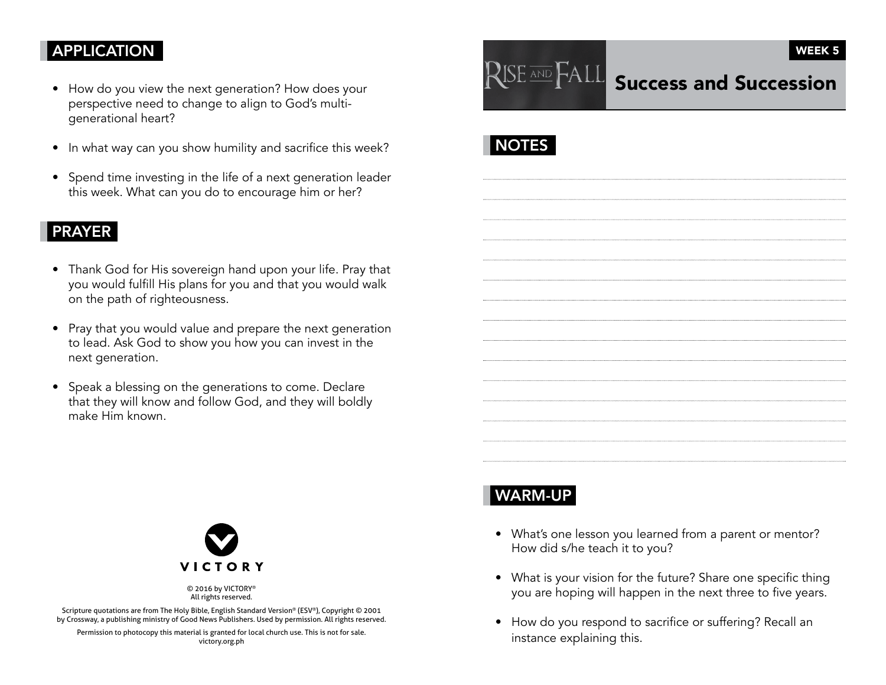## APPLICATION

- How do you view the next generation? How does your perspective need to change to align to God's multigenerational heart?
- In what way can you show humility and sacrifice this week?
- Spend time investing in the life of a next generation leader this week. What can you do to encourage him or her?

### PRAYER

- Thank God for His sovereign hand upon your life. Pray that you would fulfill His plans for you and that you would walk on the path of righteousness.
- Pray that you would value and prepare the next generation to lead. Ask God to show you how you can invest in the next generation.
- Speak a blessing on the generations to come. Declare that they will know and follow God, and they will boldly make Him known.



# **NOTES**



© 2016 by VICTORY® All rights reserved.

Scripture quotations are from The Holy Bible, English Standard Version® (ESV®), Copyright © 2001 by Crossway, a publishing ministry of Good News Publishers. Used by permission. All rights reserved.

Permission to photocopy this material is granted for local church use. This is not for sale. victory.org.ph

# WARM-UP

- What's one lesson you learned from a parent or mentor? How did s/he teach it to you?
- What is your vision for the future? Share one specific thing you are hoping will happen in the next three to five years.
- How do you respond to sacrifice or suffering? Recall an instance explaining this.